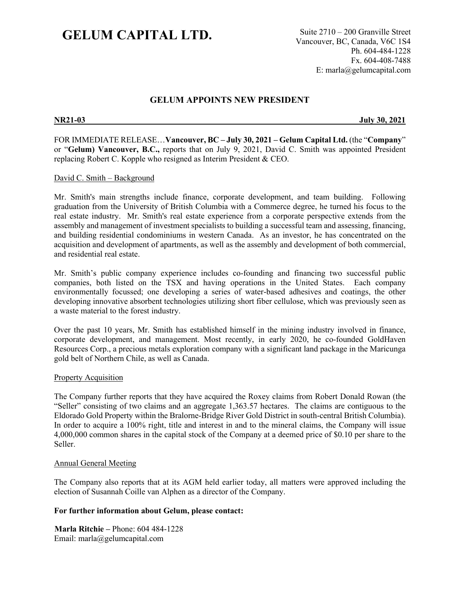# **GELUM CAPITAL LTD.** Suite 2710 – 200 Granville Street

Vancouver, BC, Canada, V6C 1S4 Ph. 604-484-1228 Fx. 604-408-7488 E: marla@gelumcapital.com

## **GELUM APPOINTS NEW PRESIDENT**

**NR21-03 July 30, 2021**

FOR IMMEDIATE RELEASE…**Vancouver, BC – July 30, 2021 – Gelum Capital Ltd.** (the "**Company**" or "**Gelum) Vancouver, B.C.,** reports that on July 9, 2021, David C. Smith was appointed President replacing Robert C. Kopple who resigned as Interim President & CEO.

#### David C. Smith – Background

Mr. Smith's main strengths include finance, corporate development, and team building. Following graduation from the University of British Columbia with a Commerce degree, he turned his focus to the real estate industry. Mr. Smith's real estate experience from a corporate perspective extends from the assembly and management of investment specialists to building a successful team and assessing, financing, and building residential condominiums in western Canada. As an investor, he has concentrated on the acquisition and development of apartments, as well as the assembly and development of both commercial, and residential real estate.

Mr. Smith's public company experience includes co-founding and financing two successful public companies, both listed on the TSX and having operations in the United States. Each company environmentally focussed; one developing a series of water-based adhesives and coatings, the other developing innovative absorbent technologies utilizing short fiber cellulose, which was previously seen as a waste material to the forest industry.

Over the past 10 years, Mr. Smith has established himself in the mining industry involved in finance, corporate development, and management. Most recently, in early 2020, he co-founded GoldHaven Resources Corp., a precious metals exploration company with a significant land package in the Maricunga gold belt of Northern Chile, as well as Canada.

### **Property Acquisition**

The Company further reports that they have acquired the Roxey claims from Robert Donald Rowan (the "Seller" consisting of two claims and an aggregate 1,363.57 hectares. The claims are contiguous to the Eldorado Gold Property within the Bralorne-Bridge River Gold District in south-central British Columbia). In order to acquire a 100% right, title and interest in and to the mineral claims, the Company will issue 4,000,000 common shares in the capital stock of the Company at a deemed price of \$0.10 per share to the Seller.

### Annual General Meeting

The Company also reports that at its AGM held earlier today, all matters were approved including the election of Susannah Coille van Alphen as a director of the Company.

### **For further information about Gelum, please contact:**

**Marla Ritchie –** Phone: 604 484-1228 Email: marla@gelumcapital.com